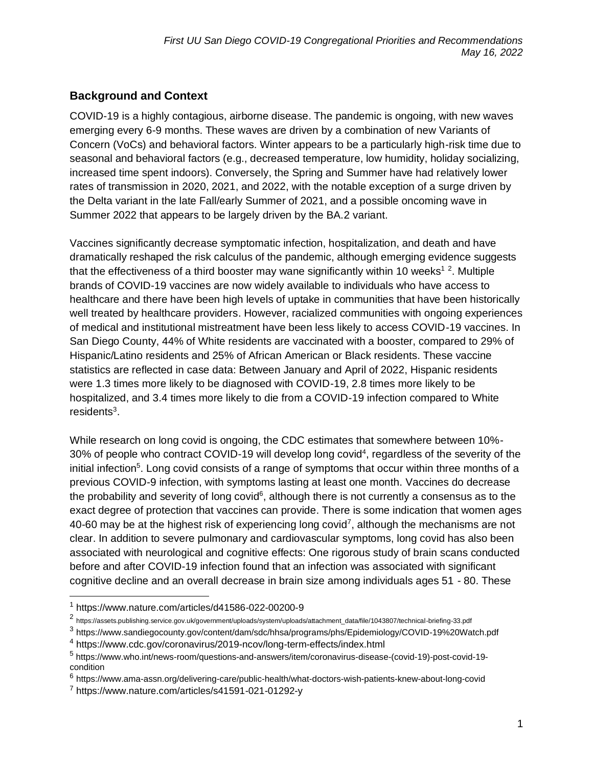### **Background and Context**

COVID-19 is a highly contagious, airborne disease. The pandemic is ongoing, with new waves emerging every 6-9 months. These waves are driven by a combination of new Variants of Concern (VoCs) and behavioral factors. Winter appears to be a particularly high-risk time due to seasonal and behavioral factors (e.g., decreased temperature, low humidity, holiday socializing, increased time spent indoors). Conversely, the Spring and Summer have had relatively lower rates of transmission in 2020, 2021, and 2022, with the notable exception of a surge driven by the Delta variant in the late Fall/early Summer of 2021, and a possible oncoming wave in Summer 2022 that appears to be largely driven by the BA.2 variant.

Vaccines significantly decrease symptomatic infection, hospitalization, and death and have dramatically reshaped the risk calculus of the pandemic, although emerging evidence suggests that the effectiveness of a third booster may wane significantly within 10 weeks<sup>12</sup>. Multiple brands of COVID-19 vaccines are now widely available to individuals who have access to healthcare and there have been high levels of uptake in communities that have been historically well treated by healthcare providers. However, racialized communities with ongoing experiences of medical and institutional mistreatment have been less likely to access COVID-19 vaccines. In San Diego County, 44% of White residents are vaccinated with a booster, compared to 29% of Hispanic/Latino residents and 25% of African American or Black residents. These vaccine statistics are reflected in case data: Between January and April of 2022, Hispanic residents were 1.3 times more likely to be diagnosed with COVID-19, 2.8 times more likely to be hospitalized, and 3.4 times more likely to die from a COVID-19 infection compared to White residents<sup>3</sup>.

While research on long covid is ongoing, the CDC estimates that somewhere between 10%- 30% of people who contract COVID-19 will develop long covid<sup>4</sup>, regardless of the severity of the initial infection<sup>5</sup>. Long covid consists of a range of symptoms that occur within three months of a previous COVID-9 infection, with symptoms lasting at least one month. Vaccines do decrease the probability and severity of long covid $6$ , although there is not currently a consensus as to the exact degree of protection that vaccines can provide. There is some indication that women ages 40-60 may be at the highest risk of experiencing long covid<sup>7</sup>, although the mechanisms are not clear. In addition to severe pulmonary and cardiovascular symptoms, long covid has also been associated with neurological and cognitive effects: One rigorous study of brain scans conducted before and after COVID-19 infection found that an infection was associated with significant cognitive decline and an overall decrease in brain size among individuals ages 51 - 80. These

<sup>1</sup> https://www.nature.com/articles/d41586-022-00200-9

<sup>2</sup> https://assets.publishing.service.gov.uk/government/uploads/system/uploads/attachment\_data/file/1043807/technical-briefing-33.pdf

<sup>&</sup>lt;sup>3</sup> https://www.sandiegocounty.gov/content/dam/sdc/hhsa/programs/phs/Epidemiology/COVID-19%20Watch.pdf

<sup>4</sup> https://www.cdc.gov/coronavirus/2019-ncov/long-term-effects/index.html

<sup>5</sup> https://www.who.int/news-room/questions-and-answers/item/coronavirus-disease-(covid-19)-post-covid-19 condition

<sup>&</sup>lt;sup>6</sup> https://www.ama-assn.org/delivering-care/public-health/what-doctors-wish-patients-knew-about-long-covid

<sup>7</sup> https://www.nature.com/articles/s41591-021-01292-y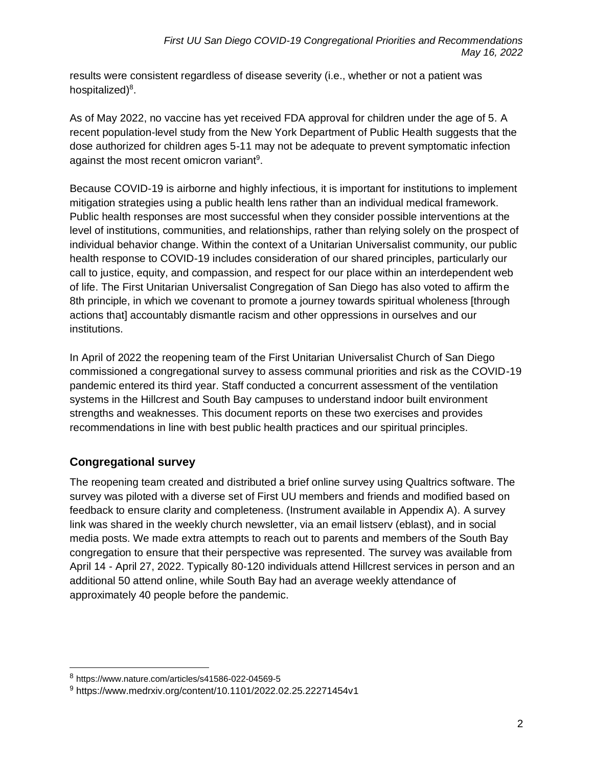results were consistent regardless of disease severity (i.e., whether or not a patient was hospitalized)<sup>8</sup>.

As of May 2022, no vaccine has yet received FDA approval for children under the age of 5. A recent population-level study from the New York Department of Public Health suggests that the dose authorized for children ages 5-11 may not be adequate to prevent symptomatic infection against the most recent omicron variant<sup>9</sup>.

Because COVID-19 is airborne and highly infectious, it is important for institutions to implement mitigation strategies using a public health lens rather than an individual medical framework. Public health responses are most successful when they consider possible interventions at the level of institutions, communities, and relationships, rather than relying solely on the prospect of individual behavior change. Within the context of a Unitarian Universalist community, our public health response to COVID-19 includes consideration of our shared principles, particularly our call to justice, equity, and compassion, and respect for our place within an interdependent web of life. The First Unitarian Universalist Congregation of San Diego has also voted to affirm the 8th principle, in which we covenant to promote a journey towards spiritual wholeness [through actions that] accountably dismantle racism and other oppressions in ourselves and our institutions.

In April of 2022 the reopening team of the First Unitarian Universalist Church of San Diego commissioned a congregational survey to assess communal priorities and risk as the COVID-19 pandemic entered its third year. Staff conducted a concurrent assessment of the ventilation systems in the Hillcrest and South Bay campuses to understand indoor built environment strengths and weaknesses. This document reports on these two exercises and provides recommendations in line with best public health practices and our spiritual principles.

### **Congregational survey**

The reopening team created and distributed a brief online survey using Qualtrics software. The survey was piloted with a diverse set of First UU members and friends and modified based on feedback to ensure clarity and completeness. (Instrument available in Appendix A). A survey link was shared in the weekly church newsletter, via an email listserv (eblast), and in social media posts. We made extra attempts to reach out to parents and members of the South Bay congregation to ensure that their perspective was represented. The survey was available from April 14 - April 27, 2022. Typically 80-120 individuals attend Hillcrest services in person and an additional 50 attend online, while South Bay had an average weekly attendance of approximately 40 people before the pandemic.

<sup>8</sup> https://www.nature.com/articles/s41586-022-04569-5

<sup>9</sup> https://www.medrxiv.org/content/10.1101/2022.02.25.22271454v1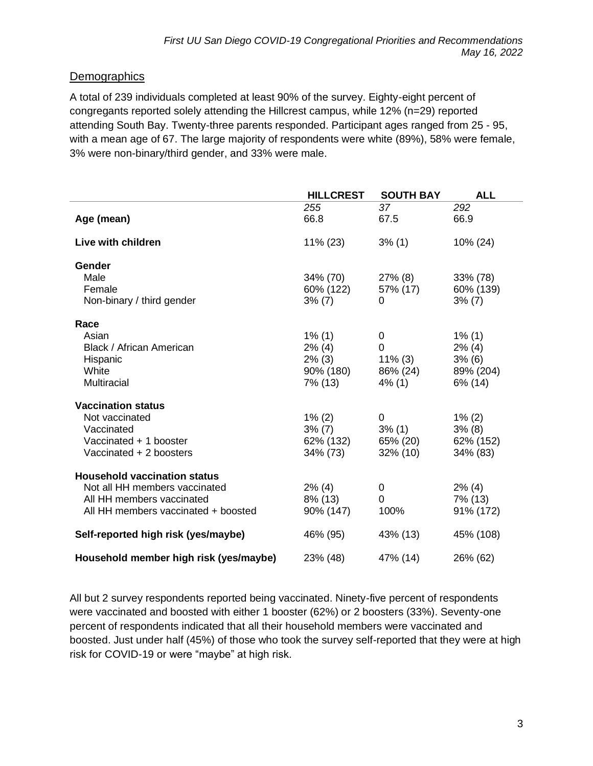### **Demographics**

A total of 239 individuals completed at least 90% of the survey. Eighty-eight percent of congregants reported solely attending the Hillcrest campus, while 12% (n=29) reported attending South Bay. Twenty-three parents responded. Participant ages ranged from 25 - 95, with a mean age of 67. The large majority of respondents were white (89%), 58% were female, 3% were non-binary/third gender, and 33% were male.

|                                        | <b>HILLCREST</b> | <b>SOUTH BAY</b> | <b>ALL</b> |
|----------------------------------------|------------------|------------------|------------|
|                                        | 255              | 37               | 292        |
| Age (mean)                             | 66.8             | 67.5             | 66.9       |
| Live with children                     | 11% (23)         | $3\%$ (1)        | 10% (24)   |
| Gender                                 |                  |                  |            |
| Male                                   | 34% (70)         | $27\%$ (8)       | 33% (78)   |
| Female                                 | 60% (122)        | 57% (17)         | 60% (139)  |
| Non-binary / third gender              | $3\%$ (7)        | 0                | $3\%$ (7)  |
|                                        |                  |                  |            |
| Race                                   |                  |                  |            |
| Asian                                  | $1\%$ (1)        | 0                | $1\%$ (1)  |
| Black / African American               | $2\%$ (4)        | $\Omega$         | $2\%$ (4)  |
| Hispanic                               | $2\%$ (3)        | $11\%$ (3)       | 3% (6)     |
| White                                  | 90% (180)        | 86% (24)         | 89% (204)  |
| <b>Multiracial</b>                     | 7% (13)          | $4\%$ (1)        | 6% (14)    |
| <b>Vaccination status</b>              |                  |                  |            |
| Not vaccinated                         | $1\% (2)$        | 0                | $1\%$ (2)  |
| Vaccinated                             | $3\%$ (7)        | $3\%$ (1)        | 3% (8)     |
| Vaccinated + 1 booster                 | 62% (132)        | 65% (20)         | 62% (152)  |
| Vaccinated + 2 boosters                | 34% (73)         | 32% (10)         | 34% (83)   |
|                                        |                  |                  |            |
| <b>Household vaccination status</b>    |                  |                  |            |
| Not all HH members vaccinated          | $2\%$ (4)        | 0                | $2\%$ (4)  |
| All HH members vaccinated              | $8\%$ (13)       | 0                | 7% (13)    |
| All HH members vaccinated + boosted    | 90% (147)        | 100%             | 91% (172)  |
| Self-reported high risk (yes/maybe)    | 46% (95)         | 43% (13)         | 45% (108)  |
| Household member high risk (yes/maybe) | 23% (48)         | 47% (14)         | 26% (62)   |

All but 2 survey respondents reported being vaccinated. Ninety-five percent of respondents were vaccinated and boosted with either 1 booster (62%) or 2 boosters (33%). Seventy-one percent of respondents indicated that all their household members were vaccinated and boosted. Just under half (45%) of those who took the survey self-reported that they were at high risk for COVID-19 or were "maybe" at high risk.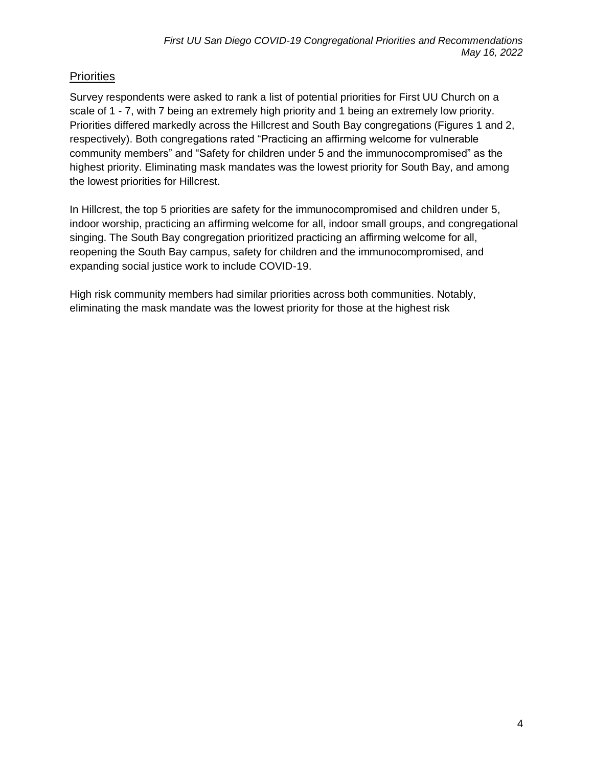### **Priorities**

Survey respondents were asked to rank a list of potential priorities for First UU Church on a scale of 1 - 7, with 7 being an extremely high priority and 1 being an extremely low priority. Priorities differed markedly across the Hillcrest and South Bay congregations (Figures 1 and 2, respectively). Both congregations rated "Practicing an affirming welcome for vulnerable community members" and "Safety for children under 5 and the immunocompromised" as the highest priority. Eliminating mask mandates was the lowest priority for South Bay, and among the lowest priorities for Hillcrest.

In Hillcrest, the top 5 priorities are safety for the immunocompromised and children under 5, indoor worship, practicing an affirming welcome for all, indoor small groups, and congregational singing. The South Bay congregation prioritized practicing an affirming welcome for all, reopening the South Bay campus, safety for children and the immunocompromised, and expanding social justice work to include COVID-19.

High risk community members had similar priorities across both communities. Notably, eliminating the mask mandate was the lowest priority for those at the highest risk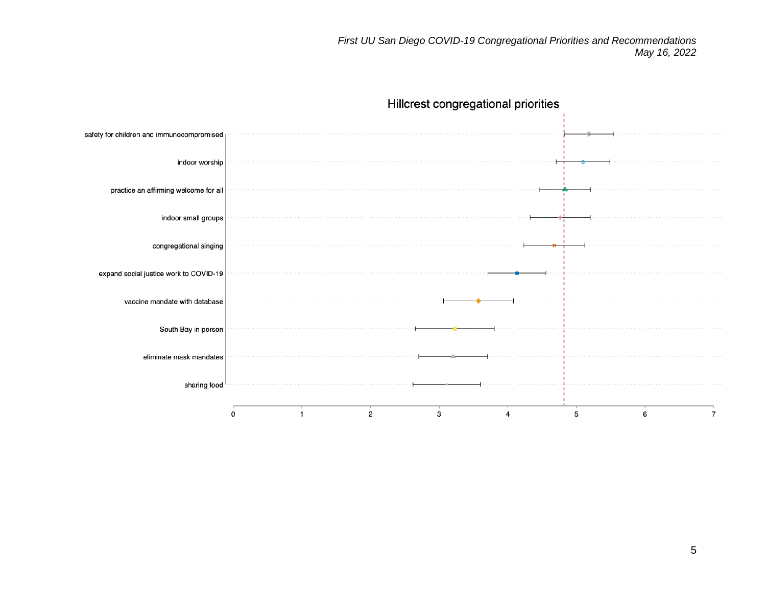

# Hillcrest congregational priorities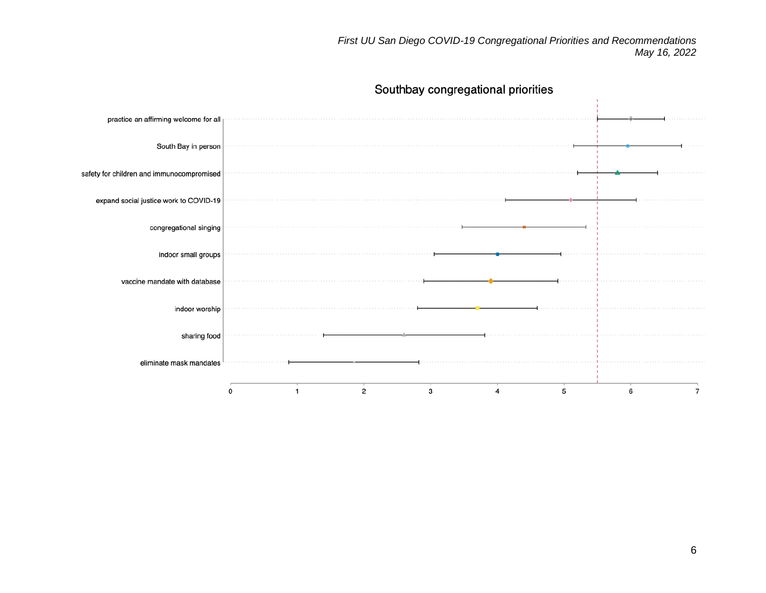*First UU San Diego COVID-19 Congregational Priorities and Recommendations May 16, 2022*

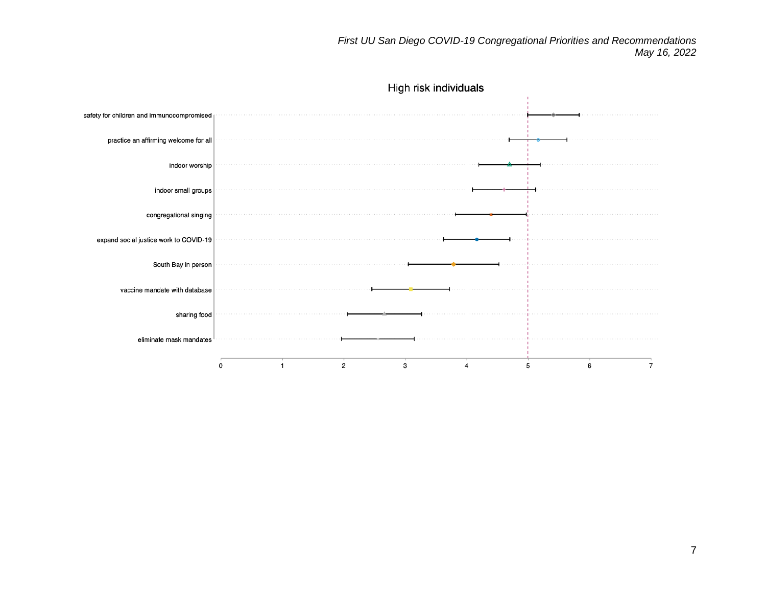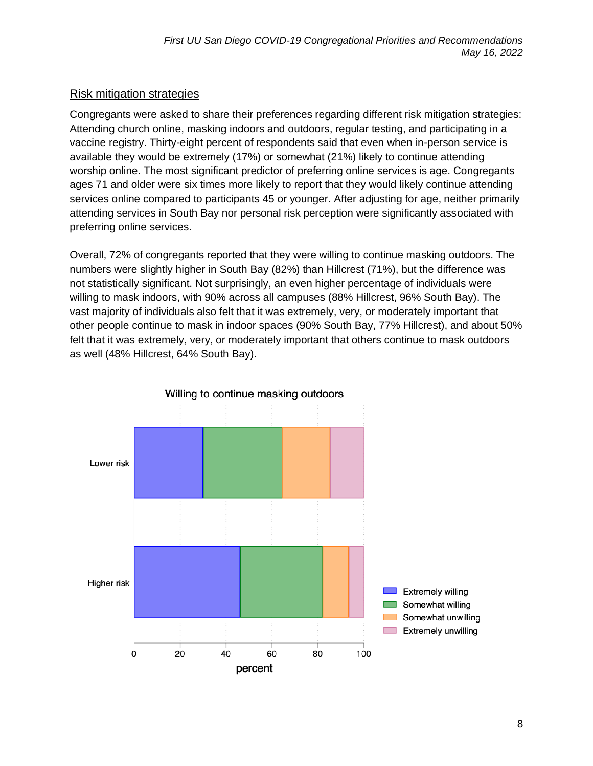#### Risk mitigation strategies

Congregants were asked to share their preferences regarding different risk mitigation strategies: Attending church online, masking indoors and outdoors, regular testing, and participating in a vaccine registry. Thirty-eight percent of respondents said that even when in-person service is available they would be extremely (17%) or somewhat (21%) likely to continue attending worship online. The most significant predictor of preferring online services is age. Congregants ages 71 and older were six times more likely to report that they would likely continue attending services online compared to participants 45 or younger. After adjusting for age, neither primarily attending services in South Bay nor personal risk perception were significantly associated with preferring online services.

Overall, 72% of congregants reported that they were willing to continue masking outdoors. The numbers were slightly higher in South Bay (82%) than Hillcrest (71%), but the difference was not statistically significant. Not surprisingly, an even higher percentage of individuals were willing to mask indoors, with 90% across all campuses (88% Hillcrest, 96% South Bay). The vast majority of individuals also felt that it was extremely, very, or moderately important that other people continue to mask in indoor spaces (90% South Bay, 77% Hillcrest), and about 50% felt that it was extremely, very, or moderately important that others continue to mask outdoors as well (48% Hillcrest, 64% South Bay).

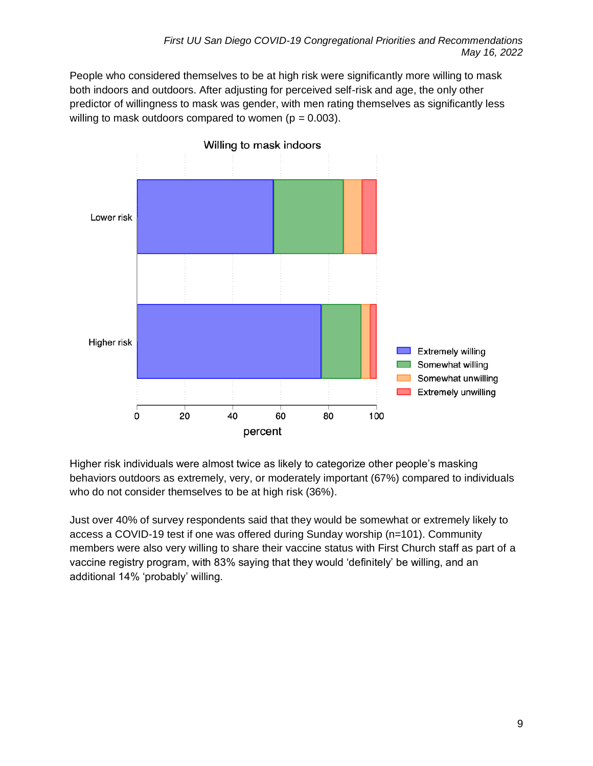People who considered themselves to be at high risk were significantly more willing to mask both indoors and outdoors. After adjusting for perceived self-risk and age, the only other predictor of willingness to mask was gender, with men rating themselves as significantly less willing to mask outdoors compared to women ( $p = 0.003$ ).



Higher risk individuals were almost twice as likely to categorize other people's masking behaviors outdoors as extremely, very, or moderately important (67%) compared to individuals who do not consider themselves to be at high risk (36%).

Just over 40% of survey respondents said that they would be somewhat or extremely likely to access a COVID-19 test if one was offered during Sunday worship (n=101). Community members were also very willing to share their vaccine status with First Church staff as part of a vaccine registry program, with 83% saying that they would 'definitely' be willing, and an additional 14% 'probably' willing.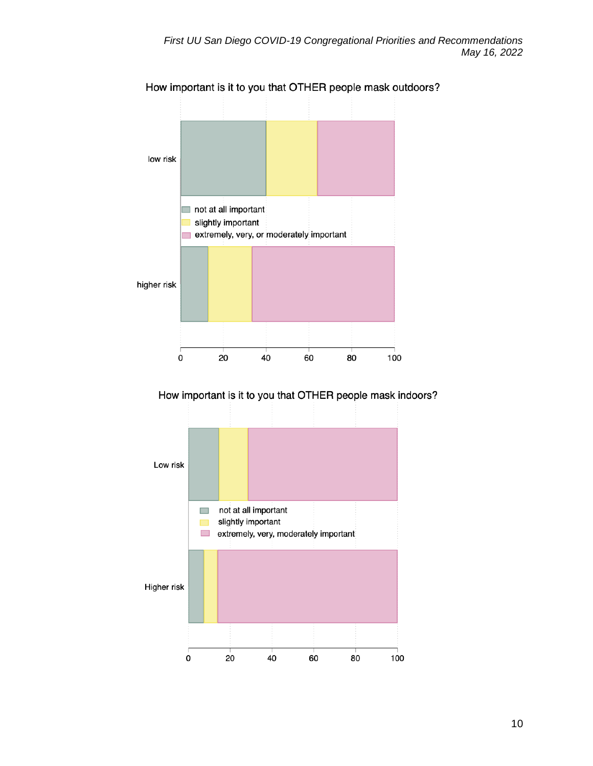

How important is it to you that OTHER people mask outdoors?

How important is it to you that OTHER people mask indoors?

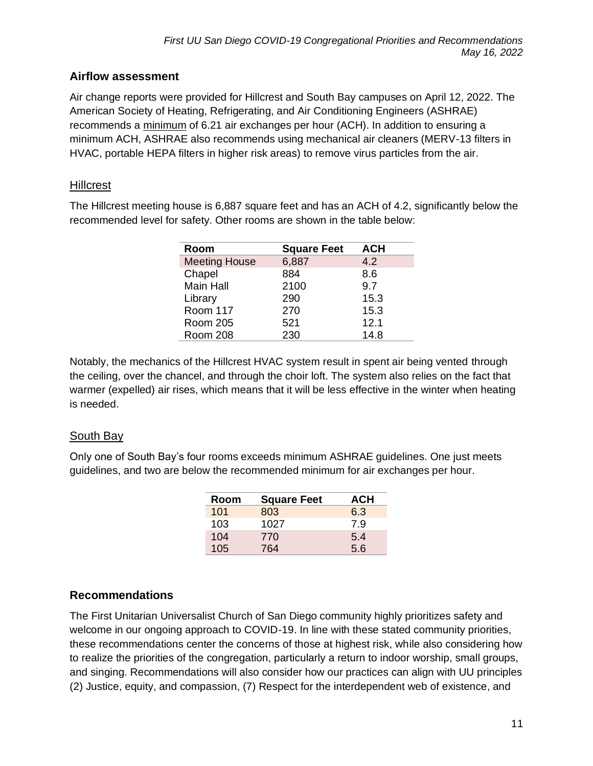### **Airflow assessment**

Air change reports were provided for Hillcrest and South Bay campuses on April 12, 2022. The American Society of Heating, Refrigerating, and Air Conditioning Engineers (ASHRAE) recommends a minimum of 6.21 air exchanges per hour (ACH). In addition to ensuring a minimum ACH, ASHRAE also recommends using mechanical air cleaners (MERV-13 filters in HVAC, portable HEPA filters in higher risk areas) to remove virus particles from the air.

### **Hillcrest**

The Hillcrest meeting house is 6,887 square feet and has an ACH of 4.2, significantly below the recommended level for safety. Other rooms are shown in the table below:

| Room                 | <b>Square Feet</b> | <b>ACH</b> |
|----------------------|--------------------|------------|
| <b>Meeting House</b> | 6,887              | 4.2        |
| Chapel               | 884                | 8.6        |
| Main Hall            | 2100               | 9.7        |
| Library              | 290                | 15.3       |
| Room 117             | 270                | 15.3       |
| <b>Room 205</b>      | 521                | 12.1       |
| Room 208             | 230                | 14.8       |

Notably, the mechanics of the Hillcrest HVAC system result in spent air being vented through the ceiling, over the chancel, and through the choir loft. The system also relies on the fact that warmer (expelled) air rises, which means that it will be less effective in the winter when heating is needed.

#### South Bay

Only one of South Bay's four rooms exceeds minimum ASHRAE guidelines. One just meets guidelines, and two are below the recommended minimum for air exchanges per hour.

| Room | <b>Square Feet</b> | <b>ACH</b> |
|------|--------------------|------------|
| 101  | 803                | 6.3        |
| 103  | 1027               | 7.9        |
| 104  | 770                | 5.4        |
| 105  | 764                | 5.6        |

### **Recommendations**

The First Unitarian Universalist Church of San Diego community highly prioritizes safety and welcome in our ongoing approach to COVID-19. In line with these stated community priorities, these recommendations center the concerns of those at highest risk, while also considering how to realize the priorities of the congregation, particularly a return to indoor worship, small groups, and singing. Recommendations will also consider how our practices can align with UU principles (2) Justice, equity, and compassion, (7) Respect for the interdependent web of existence, and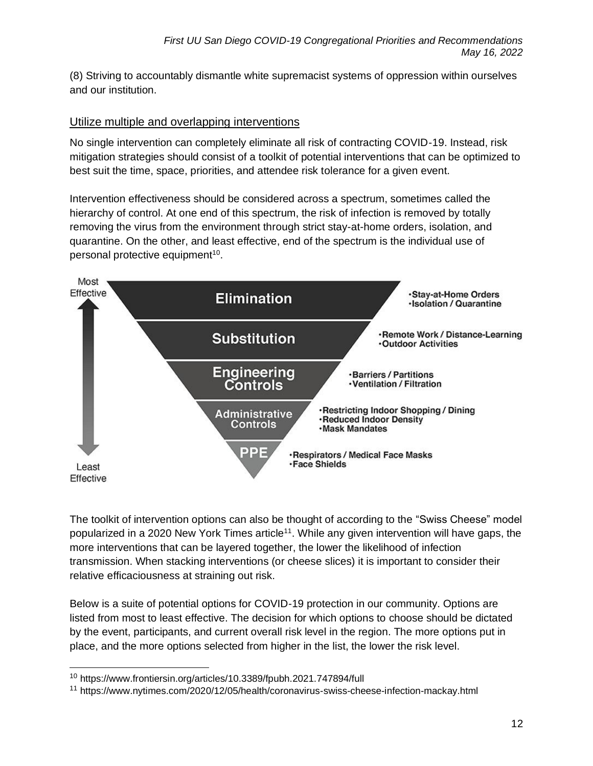(8) Striving to accountably dismantle white supremacist systems of oppression within ourselves and our institution.

#### Utilize multiple and overlapping interventions

No single intervention can completely eliminate all risk of contracting COVID-19. Instead, risk mitigation strategies should consist of a toolkit of potential interventions that can be optimized to best suit the time, space, priorities, and attendee risk tolerance for a given event.

Intervention effectiveness should be considered across a spectrum, sometimes called the hierarchy of control. At one end of this spectrum, the risk of infection is removed by totally removing the virus from the environment through strict stay-at-home orders, isolation, and quarantine. On the other, and least effective, end of the spectrum is the individual use of personal protective equipment $10$ .



The toolkit of intervention options can also be thought of according to the "Swiss Cheese" model popularized in a 2020 New York Times article<sup>11</sup>. While any given intervention will have gaps, the more interventions that can be layered together, the lower the likelihood of infection transmission. When stacking interventions (or cheese slices) it is important to consider their relative efficaciousness at straining out risk.

Below is a suite of potential options for COVID-19 protection in our community. Options are listed from most to least effective. The decision for which options to choose should be dictated by the event, participants, and current overall risk level in the region. The more options put in place, and the more options selected from higher in the list, the lower the risk level.

<sup>10</sup> https://www.frontiersin.org/articles/10.3389/fpubh.2021.747894/full

<sup>&</sup>lt;sup>11</sup> https://www.nytimes.com/2020/12/05/health/coronavirus-swiss-cheese-infection-mackay.html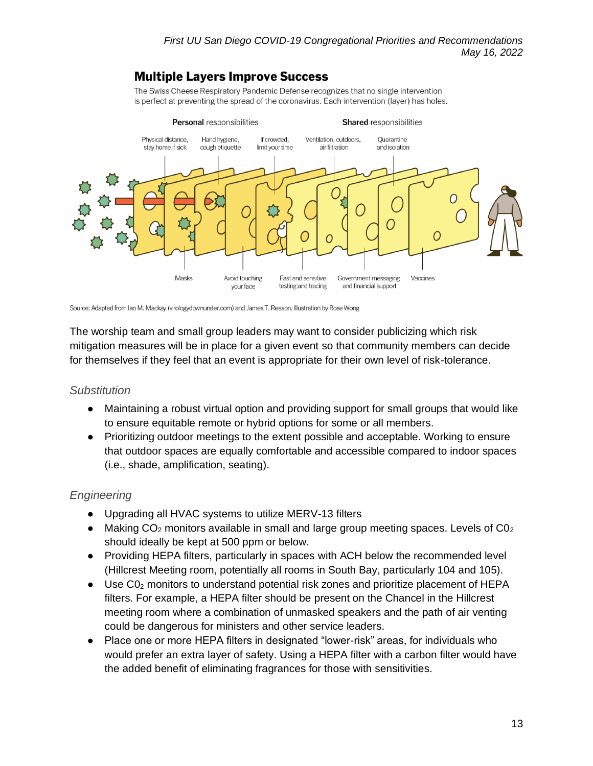## **Multiple Layers Improve Success**

The Swiss Cheese Respiratory Pandemic Defense recognizes that no single intervention is perfect at preventing the spread of the coronavirus. Each intervention (layer) has holes.



Source: Adapted from Ian M. Mackay (virologydownunder.com) and James T. Reason. Illustration by Rose Wong

The worship team and small group leaders may want to consider publicizing which risk mitigation measures will be in place for a given event so that community members can decide for themselves if they feel that an event is appropriate for their own level of risk-tolerance.

#### *Substitution*

- Maintaining a robust virtual option and providing support for small groups that would like to ensure equitable remote or hybrid options for some or all members.
- Prioritizing outdoor meetings to the extent possible and acceptable. Working to ensure that outdoor spaces are equally comfortable and accessible compared to indoor spaces (i.e., shade, amplification, seating).

### *Engineering*

- Upgrading all HVAC systems to utilize MERV-13 filters
- Making  $CO<sub>2</sub>$  monitors available in small and large group meeting spaces. Levels of  $CO<sub>2</sub>$ should ideally be kept at 500 ppm or below.
- Providing HEPA filters, particularly in spaces with ACH below the recommended level (Hillcrest Meeting room, potentially all rooms in South Bay, particularly 104 and 105).
- $\bullet$  Use C0<sub>2</sub> monitors to understand potential risk zones and prioritize placement of HEPA filters. For example, a HEPA filter should be present on the Chancel in the Hillcrest meeting room where a combination of unmasked speakers and the path of air venting could be dangerous for ministers and other service leaders.
- Place one or more HEPA filters in designated "lower-risk" areas, for individuals who would prefer an extra layer of safety. Using a HEPA filter with a carbon filter would have the added benefit of eliminating fragrances for those with sensitivities.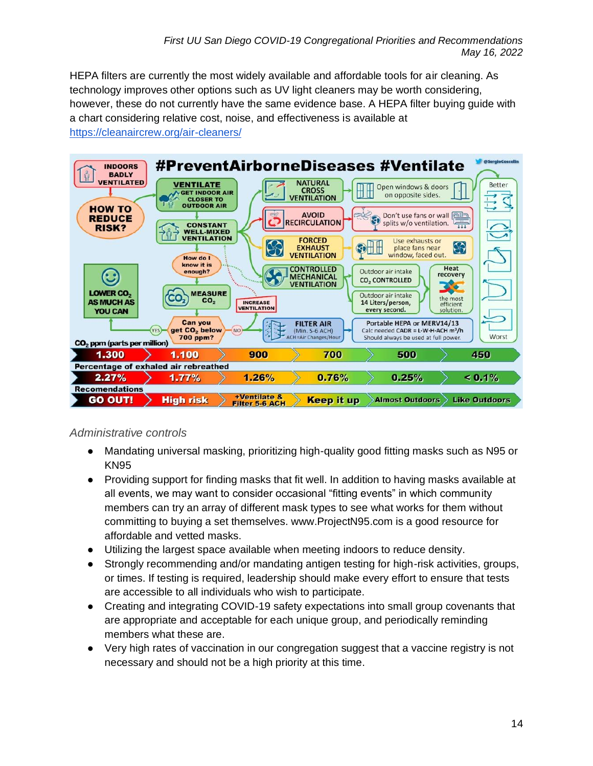HEPA filters are currently the most widely available and affordable tools for air cleaning. As technology improves other options such as UV light cleaners may be worth considering, however, these do not currently have the same evidence base. A HEPA filter buying guide with a chart considering relative cost, noise, and effectiveness is available at <https://cleanaircrew.org/air-cleaners/>



### *Administrative controls*

- Mandating universal masking, prioritizing high-quality good fitting masks such as N95 or KN95
- Providing support for finding masks that fit well. In addition to having masks available at all events, we may want to consider occasional "fitting events" in which community members can try an array of different mask types to see what works for them without committing to buying a set themselves. www.ProjectN95.com is a good resource for affordable and vetted masks.
- Utilizing the largest space available when meeting indoors to reduce density.
- Strongly recommending and/or mandating antigen testing for high-risk activities, groups, or times. If testing is required, leadership should make every effort to ensure that tests are accessible to all individuals who wish to participate.
- Creating and integrating COVID-19 safety expectations into small group covenants that are appropriate and acceptable for each unique group, and periodically reminding members what these are.
- Very high rates of vaccination in our congregation suggest that a vaccine registry is not necessary and should not be a high priority at this time.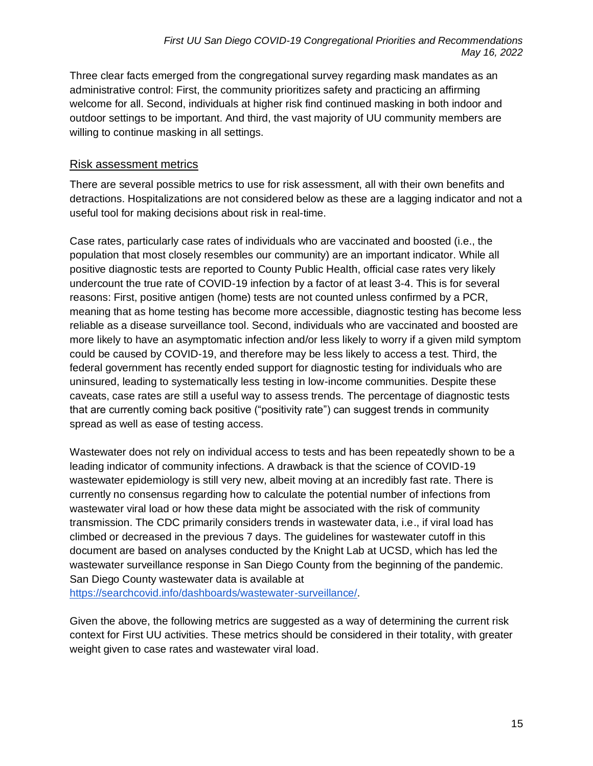Three clear facts emerged from the congregational survey regarding mask mandates as an administrative control: First, the community prioritizes safety and practicing an affirming welcome for all. Second, individuals at higher risk find continued masking in both indoor and outdoor settings to be important. And third, the vast majority of UU community members are willing to continue masking in all settings.

#### Risk assessment metrics

There are several possible metrics to use for risk assessment, all with their own benefits and detractions. Hospitalizations are not considered below as these are a lagging indicator and not a useful tool for making decisions about risk in real-time.

Case rates, particularly case rates of individuals who are vaccinated and boosted (i.e., the population that most closely resembles our community) are an important indicator. While all positive diagnostic tests are reported to County Public Health, official case rates very likely undercount the true rate of COVID-19 infection by a factor of at least 3-4. This is for several reasons: First, positive antigen (home) tests are not counted unless confirmed by a PCR, meaning that as home testing has become more accessible, diagnostic testing has become less reliable as a disease surveillance tool. Second, individuals who are vaccinated and boosted are more likely to have an asymptomatic infection and/or less likely to worry if a given mild symptom could be caused by COVID-19, and therefore may be less likely to access a test. Third, the federal government has recently ended support for diagnostic testing for individuals who are uninsured, leading to systematically less testing in low-income communities. Despite these caveats, case rates are still a useful way to assess trends. The percentage of diagnostic tests that are currently coming back positive ("positivity rate") can suggest trends in community spread as well as ease of testing access.

Wastewater does not rely on individual access to tests and has been repeatedly shown to be a leading indicator of community infections. A drawback is that the science of COVID-19 wastewater epidemiology is still very new, albeit moving at an incredibly fast rate. There is currently no consensus regarding how to calculate the potential number of infections from wastewater viral load or how these data might be associated with the risk of community transmission. The CDC primarily considers trends in wastewater data, i.e., if viral load has climbed or decreased in the previous 7 days. The guidelines for wastewater cutoff in this document are based on analyses conducted by the Knight Lab at UCSD, which has led the wastewater surveillance response in San Diego County from the beginning of the pandemic. San Diego County wastewater data is available at

[https://searchcovid.info/dashboards/wastewater-surveillance/.](https://searchcovid.info/dashboards/wastewater-surveillance/)

Given the above, the following metrics are suggested as a way of determining the current risk context for First UU activities. These metrics should be considered in their totality, with greater weight given to case rates and wastewater viral load.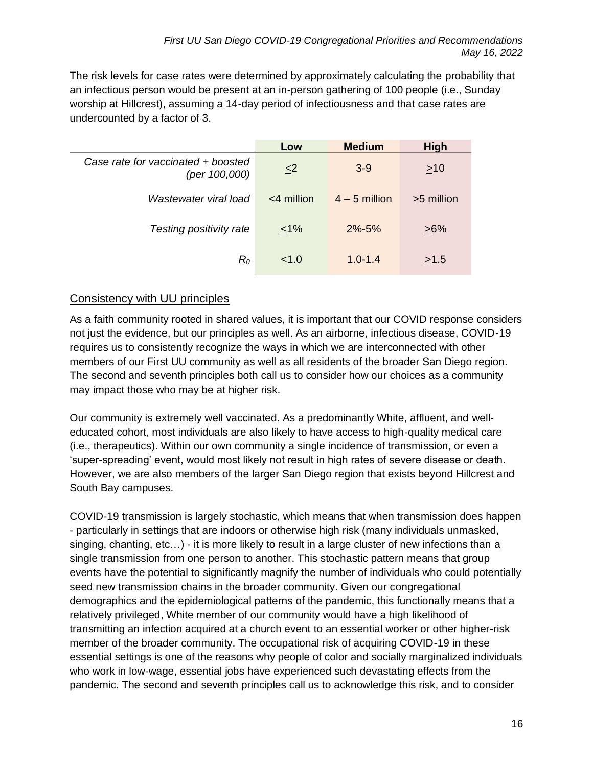The risk levels for case rates were determined by approximately calculating the probability that an infectious person would be present at an in-person gathering of 100 people (i.e., Sunday worship at Hillcrest), assuming a 14-day period of infectiousness and that case rates are undercounted by a factor of 3.

|                                                     | Low                 | <b>Medium</b>   | <b>High</b> |
|-----------------------------------------------------|---------------------|-----------------|-------------|
| Case rate for vaccinated + boosted<br>(per 100,000) | $\leq$ <sup>2</sup> | $3 - 9$         | $>10$       |
| Wastewater viral load                               | $<$ 4 million       | $4 - 5$ million | >5 million  |
| Testing positivity rate                             | $1\%$               | $2\% - 5\%$     | $>6\%$      |
| $R_{\rm 0}$                                         | < 1.0               | $1.0 - 1.4$     | $\geq 1.5$  |

### Consistency with UU principles

As a faith community rooted in shared values, it is important that our COVID response considers not just the evidence, but our principles as well. As an airborne, infectious disease, COVID-19 requires us to consistently recognize the ways in which we are interconnected with other members of our First UU community as well as all residents of the broader San Diego region. The second and seventh principles both call us to consider how our choices as a community may impact those who may be at higher risk.

Our community is extremely well vaccinated. As a predominantly White, affluent, and welleducated cohort, most individuals are also likely to have access to high-quality medical care (i.e., therapeutics). Within our own community a single incidence of transmission, or even a 'super-spreading' event, would most likely not result in high rates of severe disease or death. However, we are also members of the larger San Diego region that exists beyond Hillcrest and South Bay campuses.

COVID-19 transmission is largely stochastic, which means that when transmission does happen - particularly in settings that are indoors or otherwise high risk (many individuals unmasked, singing, chanting, etc...) - it is more likely to result in a large cluster of new infections than a single transmission from one person to another. This stochastic pattern means that group events have the potential to significantly magnify the number of individuals who could potentially seed new transmission chains in the broader community. Given our congregational demographics and the epidemiological patterns of the pandemic, this functionally means that a relatively privileged, White member of our community would have a high likelihood of transmitting an infection acquired at a church event to an essential worker or other higher-risk member of the broader community. The occupational risk of acquiring COVID-19 in these essential settings is one of the reasons why people of color and socially marginalized individuals who work in low-wage, essential jobs have experienced such devastating effects from the pandemic. The second and seventh principles call us to acknowledge this risk, and to consider